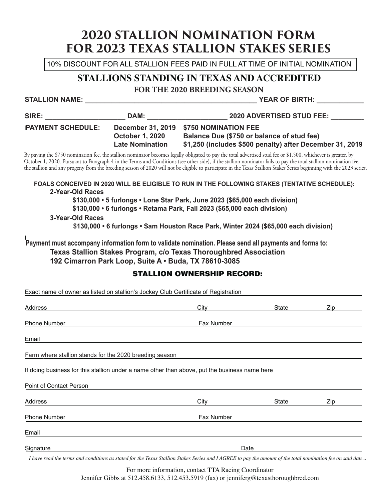# 2013 StaLLION NOMINATION FORM **2020 STALLION NOMINATION FORM** FOR 2016 TEXAS STALLION STAKES SERIES **FOR 2023 TEXAS STALLION STAKES SERIES**

10% DISCOUNT FOR ALL STALLION FEES PAID IN FULL AT TIME OF INITIAL NOMINATION

### *STALLIONS STANDING IN TEXAS AND ACCREDITED*

**FOR THE 2020 BREEDING SEASON** 

STALLION NAME: \_\_\_\_\_\_\_\_\_\_\_\_\_\_\_\_\_\_\_\_\_\_\_\_\_\_\_\_\_\_\_\_\_\_\_\_\_\_\_\_\_\_ YEAR OF BIRTH: \_\_\_\_\_\_\_\_\_\_\_\_\_

| SIRE:                    | DAM:                                                                         | <b>2020 ADVERTISED STUD FEE:</b>                                                                                               |  |  |
|--------------------------|------------------------------------------------------------------------------|--------------------------------------------------------------------------------------------------------------------------------|--|--|
| <b>PAYMENT SCHEDULE:</b> | <b>December 31, 2019</b><br><b>October 1, 2020</b><br><b>Late Nomination</b> | \$750 NOMINATION FEE<br>Balance Due (\$750 or balance of stud fee)<br>\$1,250 (includes \$500 penalty) after December 31, 2019 |  |  |

#### **2.53.15340.05340.05340.05340.05340.05340.05340.05340.05340.05340.05340.05340.05340.05340.05340.05340.05340.05340.05340.05340.05340.05340.05340.05340.05340.05340.05340.05340.05340.05340.05340.05340.05340.05340.05340.05340.**  $\mathsf{v}$ -roar-

### STALLION OWNERSHIP RECORD:

| <b>STALLION NAME:</b>                                                                                                                                                                                                                                                                                                                                                                                                                                                                                      |                                                                                                                                                                                                                                                 | <b>YEAR OF BIRTH:</b>                                                                                                                            |       |     |  |  |
|------------------------------------------------------------------------------------------------------------------------------------------------------------------------------------------------------------------------------------------------------------------------------------------------------------------------------------------------------------------------------------------------------------------------------------------------------------------------------------------------------------|-------------------------------------------------------------------------------------------------------------------------------------------------------------------------------------------------------------------------------------------------|--------------------------------------------------------------------------------------------------------------------------------------------------|-------|-----|--|--|
|                                                                                                                                                                                                                                                                                                                                                                                                                                                                                                            |                                                                                                                                                                                                                                                 |                                                                                                                                                  |       |     |  |  |
| <b>PAYMENT SCHEDULE:</b>                                                                                                                                                                                                                                                                                                                                                                                                                                                                                   | <b>October 1, 2020</b><br><b>Late Nomination</b>                                                                                                                                                                                                | December 31, 2019 \$750 NOMINATION FEE<br>Balance Due (\$750 or balance of stud fee)<br>\$1,250 (includes \$500 penalty) after December 31, 2019 |       |     |  |  |
| By paying the \$750 nomination fee, the stallion nominator becomes legally obligated to pay the total advertised stud fee or \$1,500, whichever is greater, by<br>October 1, 2020. Pursuant to Paragraph 4 in the Terms and Conditions (see other side), if the stallion nominator fails to pay the total stallion nomination fee,<br>the stallion and any progeny from the breeding season of 2020 will not be eligible to participate in the Texas Stallion Stakes Series beginning with the 2023 series |                                                                                                                                                                                                                                                 |                                                                                                                                                  |       |     |  |  |
| FOALS CONCEIVED IN 2020 WILL BE ELIGIBLE TO RUN IN THE FOLLOWING STAKES (TENTATIVE SCHEDULE):<br>2-Year-Old Races<br><b>3-Year-Old Races</b>                                                                                                                                                                                                                                                                                                                                                               | \$130,000 • 5 furlongs • Lone Star Park, June 2023 (\$65,000 each division)<br>\$130,000 • 6 furlongs • Retama Park, Fall 2023 (\$65,000 each division)<br>\$130,000 • 6 furlongs • Sam Houston Race Park, Winter 2024 (\$65,000 each division) |                                                                                                                                                  |       |     |  |  |
| Payment must accompany information form to validate nomination. Please send all payments and forms to:                                                                                                                                                                                                                                                                                                                                                                                                     | Texas Stallion Stakes Program, c/o Texas Thoroughbred Association<br>192 Cimarron Park Loop, Suite A · Buda, TX 78610-3085                                                                                                                      | <b>STALLION OWNERSHIP RECORD:</b>                                                                                                                |       |     |  |  |
| Exact name of owner as listed on stallion's Jockey Club Certificate of Registration                                                                                                                                                                                                                                                                                                                                                                                                                        |                                                                                                                                                                                                                                                 |                                                                                                                                                  |       |     |  |  |
| <b>Address</b>                                                                                                                                                                                                                                                                                                                                                                                                                                                                                             |                                                                                                                                                                                                                                                 | City                                                                                                                                             | State | Zip |  |  |
| <b>Phone Number</b>                                                                                                                                                                                                                                                                                                                                                                                                                                                                                        |                                                                                                                                                                                                                                                 | Fax Number                                                                                                                                       |       |     |  |  |
| Email                                                                                                                                                                                                                                                                                                                                                                                                                                                                                                      |                                                                                                                                                                                                                                                 |                                                                                                                                                  |       |     |  |  |
| Farm where stallion stands for the 2020 breeding season                                                                                                                                                                                                                                                                                                                                                                                                                                                    |                                                                                                                                                                                                                                                 |                                                                                                                                                  |       |     |  |  |
| If doing business for this stallion under a name other than above, put the business name here                                                                                                                                                                                                                                                                                                                                                                                                              |                                                                                                                                                                                                                                                 |                                                                                                                                                  |       |     |  |  |
| Point of Contact Person                                                                                                                                                                                                                                                                                                                                                                                                                                                                                    |                                                                                                                                                                                                                                                 |                                                                                                                                                  |       |     |  |  |
| <b>Address</b>                                                                                                                                                                                                                                                                                                                                                                                                                                                                                             |                                                                                                                                                                                                                                                 | City                                                                                                                                             | State | Zip |  |  |
| <b>Phone Number</b>                                                                                                                                                                                                                                                                                                                                                                                                                                                                                        |                                                                                                                                                                                                                                                 | Fax Number                                                                                                                                       |       |     |  |  |
| Email                                                                                                                                                                                                                                                                                                                                                                                                                                                                                                      |                                                                                                                                                                                                                                                 |                                                                                                                                                  |       |     |  |  |
| Signature                                                                                                                                                                                                                                                                                                                                                                                                                                                                                                  |                                                                                                                                                                                                                                                 | Date                                                                                                                                             |       |     |  |  |

*I* have read the terms and conditions as stated for the Texas Stallion Stakes Series and I AGREE to pay the amount of the total nomination fee on said date...

For more information, contact TTA Racing Coordinator Jennifer Gibbs at 512.458.6133, 512.453.5919 (fax) or jenniferg@texasthoroughbred.com